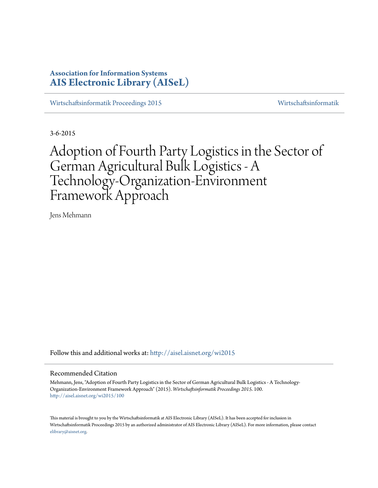# **Association for Information Systems [AIS Electronic Library \(AISeL\)](http://aisel.aisnet.org?utm_source=aisel.aisnet.org%2Fwi2015%2F100&utm_medium=PDF&utm_campaign=PDFCoverPages)**

[Wirtschaftsinformatik Proceedings 2015](http://aisel.aisnet.org/wi2015?utm_source=aisel.aisnet.org%2Fwi2015%2F100&utm_medium=PDF&utm_campaign=PDFCoverPages) [Wirtschaftsinformatik](http://aisel.aisnet.org/wi?utm_source=aisel.aisnet.org%2Fwi2015%2F100&utm_medium=PDF&utm_campaign=PDFCoverPages)

3-6-2015

# Adoption of Fourth Party Logistics in the Sector of German Agricultural Bulk Logistics - A Technology-Organization-Environment Framework Approach

Jens Mehmann

Follow this and additional works at: [http://aisel.aisnet.org/wi2015](http://aisel.aisnet.org/wi2015?utm_source=aisel.aisnet.org%2Fwi2015%2F100&utm_medium=PDF&utm_campaign=PDFCoverPages)

#### Recommended Citation

Mehmann, Jens, "Adoption of Fourth Party Logistics in the Sector of German Agricultural Bulk Logistics - A Technology-Organization-Environment Framework Approach" (2015). *Wirtschaftsinformatik Proceedings 2015*. 100. [http://aisel.aisnet.org/wi2015/100](http://aisel.aisnet.org/wi2015/100?utm_source=aisel.aisnet.org%2Fwi2015%2F100&utm_medium=PDF&utm_campaign=PDFCoverPages)

This material is brought to you by the Wirtschaftsinformatik at AIS Electronic Library (AISeL). It has been accepted for inclusion in Wirtschaftsinformatik Proceedings 2015 by an authorized administrator of AIS Electronic Library (AISeL). For more information, please contact [elibrary@aisnet.org.](mailto:elibrary@aisnet.org%3E)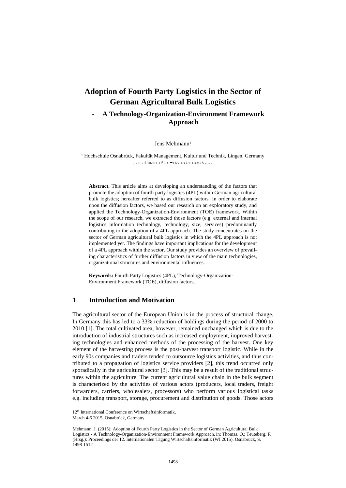# **Adoption of Fourth Party Logistics in the Sector of German Agricultural Bulk Logistics**

# - **A Technology-Organization-Environment Framework Approach**

Jens Mehmann<sup>1</sup>

<sup>1</sup> Hochschule Osnabrück, Fakultät Management, Kultur und Technik, Lingen, Germany j.mehmann@hs-osnabrueck.de

**Abstract.** This article aims at developing an understanding of the factors that promote the adoption of fourth party logistics (4PL) within German agricultural bulk logistics; hereafter referred to as diffusion factors. In order to elaborate upon the diffusion factors, we based our research on an exploratory study, and applied the Technology-Organization-Environment (TOE) framework. Within the scope of our research, we extracted those factors (e.g. external and internal logistics information technology, technology, size, services) predominantly contributing to the adoption of a 4PL approach. The study concentrates on the sector of German agricultural bulk logistics in which the 4PL approach is not implemented yet. The findings have important implications for the development of a 4PL approach within the sector. Our study provides an overview of prevailing characteristics of further diffusion factors in view of the main technologies, organizational structures and environmental influences.

**Keywords:** Fourth Party Logistics (4PL), Technology-Organization-Environment Framework (TOE), diffusion factors,

# **1 Introduction and Motivation**

The agricultural sector of the European Union is in the process of structural change. In Germany this has led to a 33% reduction of holdings during the period of 2000 to 2010 [1]. The total cultivated area, however, remained unchanged which is due to the introduction of industrial structures such as increased employment, improved harvesting technologies and enhanced methods of the processing of the harvest. One key element of the harvesting process is the post-harvest transport logistic. While in the early 90s companies and traders tended to outsource logistics activities, and thus contributed to a propagation of logistics service providers [2], this trend occurred only sporadically in the agricultural sector [3]. This may be a result of the traditional structures within the agriculture. The current agricultural value chain in the bulk segment is characterized by the activities of various actors (producers, local traders, freight forwarders, carriers, wholesalers, processors) who perform various logistical tasks e.g. including transport, storage, procurement and distribution of goods. Those actors

Mehmann, J. (2015): Adoption of Fourth Party Logistics in the Sector of German Agricultural Bulk Logistics - A Technology-Organization-Environment Framework Approach, in: Thomas. O.; Teuteberg, F. (Hrsg.): Proceedings der 12. Internationalen Tagung Wirtschaftsinformatik (WI 2015), Osnabrück, S. 1498-1512

<sup>12&</sup>lt;sup>th</sup> International Conference on Wirtschaftsinformatik.

March 4-6 2015, Osnabrück, Germany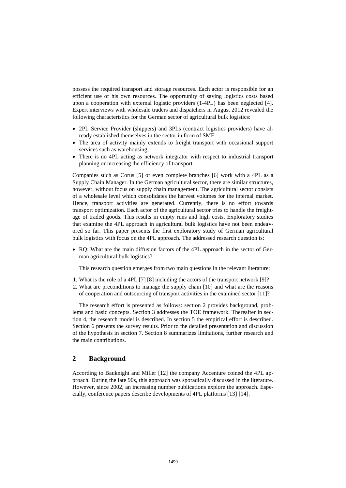possess the required transport and storage resources. Each actor is responsible for an efficient use of his own resources. The opportunity of saving logistics costs based upon a cooperation with external logistic providers (1-4PL) has been neglected [4]. Expert interviews with wholesale traders and dispatchers in August 2012 revealed the following characteristics for the German sector of agricultural bulk logistics:

- 2PL Service Provider (shippers) and 3PLs (contract logistics providers) have already established themselves in the sector in form of SME
- The area of activity mainly extends to freight transport with occasional support services such as warehousing;
- There is no 4PL acting as network integrator with respect to industrial transport planning or increasing the efficiency of transport.

Companies such as Corus [5] or even complete branches [6] work with a 4PL as a Supply Chain Manager. In the German agricultural sector, there are similar structures, however, without focus on supply chain management. The agricultural sector consists of a wholesale level which consolidates the harvest volumes for the internal market. Hence, transport activities are generated. Currently, there is no effort towards transport optimization. Each actor of the agricultural sector tries to handle the freightage of traded goods. This results in empty runs and high costs. Exploratory studies that examine the 4PL approach in agricultural bulk logistics have not been endeavored so far. This paper presents the first exploratory study of German agricultural bulk logistics with focus on the 4PL approach. The addressed research question is:

 RQ: What are the main diffusion factors of the 4PL approach in the sector of German agricultural bulk logistics?

This research question emerges from two main questions in the relevant literature:

- 1. What is the role of a 4PL [7] [8] including the actors of the transport network [9]?
- 2. What are preconditions to manage the supply chain [10] and what are the reasons of cooperation and outsourcing of transport activities in the examined sector [11]?

The research effort is presented as follows: section 2 provides background, problems and basic concepts. Section 3 addresses the TOE framework. Thereafter in section 4, the research model is described. In section 5 the empirical effort is described. Section 6 presents the survey results. Prior to the detailed presentation and discussion of the hypothesis in section 7. Section 8 summarizes limitations, further research and the main contributions.

# **2 Background**

According to Bauknight and Miller [12] the company Accenture coined the 4PL approach. During the late 90s, this approach was sporadically discussed in the literature. However, since 2002, an increasing number publications explore the approach. Especially, conference papers describe developments of 4PL platforms [13] [14].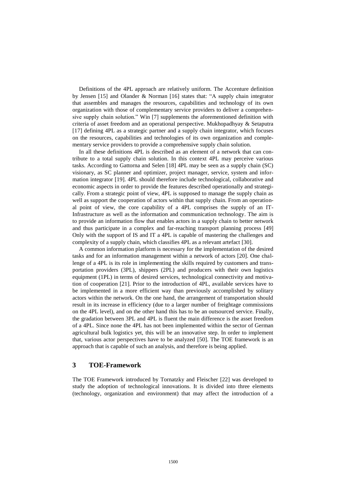Definitions of the 4PL approach are relatively uniform. The Accenture definition by Jensen [15] and Olander & Norman [16] states that: "A supply chain integrator that assembles and manages the resources, capabilities and technology of its own organization with those of complementary service providers to deliver a comprehensive supply chain solution." Win [7] supplements the aforementioned definition with criteria of asset freedom and an operational perspective. Mukhopadhyay & Setaputra [17] defining 4PL as a strategic partner and a supply chain integrator, which focuses on the resources, capabilities and technologies of its own organization and complementary service providers to provide a comprehensive supply chain solution.

In all these definitions 4PL is described as an element of a network that can contribute to a total supply chain solution. In this context 4PL may perceive various tasks. According to Gattorna and Selen [18] 4PL may be seen as a supply chain (SC) visionary, as SC planner and optimizer, project manager, service, system and information integrator [19]. 4PL should therefore include technological, collaborative and economic aspects in order to provide the features described operationally and strategically. From a strategic point of view, 4PL is supposed to manage the supply chain as well as support the cooperation of actors within that supply chain. From an operational point of view, the core capability of a 4PL comprises the supply of an IT-Infrastructure as well as the information and communication technology. The aim is to provide an information flow that enables actors in a supply chain to better network and thus participate in a complex and far-reaching transport planning process [49] Only with the support of IS and IT a 4PL is capable of mastering the challenges and complexity of a supply chain, which classifies 4PL as a relevant artefact [30].

A common information platform is necessary for the implementation of the desired tasks and for an information management within a network of actors [20]. One challenge of a 4PL is its role in implementing the skills required by customers and transportation providers (3PL), shippers (2PL) and producers with their own logistics equipment (1PL) in terms of desired services, technological connectivity and motivation of cooperation [21]. Prior to the introduction of 4PL, available services have to be implemented in a more efficient way than previously accomplished by solitary actors within the network. On the one hand, the arrangement of transportation should result in its increase in efficiency (due to a larger number of freightage commissions on the 4PL level), and on the other hand this has to be an outsourced service. Finally, the gradation between 3PL and 4PL is fluent the main difference is the asset freedom of a 4PL. Since none the 4PL has not been implemented within the sector of German agricultural bulk logistics yet, this will be an innovative step. In order to implement that, various actor perspectives have to be analyzed [50]. The TOE framework is an approach that is capable of such an analysis, and therefore is being applied.

# **3 TOE-Framework**

The TOE Framework introduced by Tornatzky and Fleischer [22] was developed to study the adoption of technological innovations. It is divided into three elements (technology, organization and environment) that may affect the introduction of a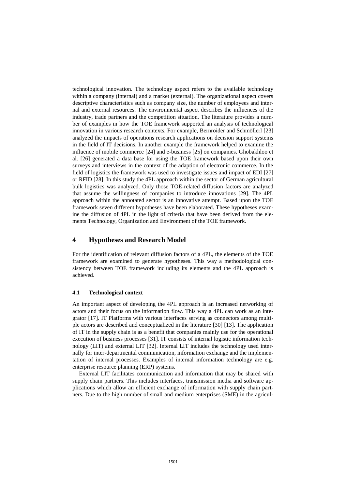technological innovation. The technology aspect refers to the available technology within a company (internal) and a market (external). The organizational aspect covers descriptive characteristics such as company size, the number of employees and internal and external resources. The environmental aspect describes the influences of the industry, trade partners and the competition situation. The literature provides a number of examples in how the TOE framework supported an analysis of technological innovation in various research contexts. For example, Bernroider and Schmöllerl [23] analyzed the impacts of operations research applications on decision support systems in the field of IT decisions. In another example the framework helped to examine the influence of mobile commerce [24] and e-business [25] on companies. Ghobakhloo et al. [26] generated a data base for using the TOE framework based upon their own surveys and interviews in the context of the adaption of electronic commerce. In the field of logistics the framework was used to investigate issues and impact of EDI [27] or RFID [28]. In this study the 4PL approach within the sector of German agricultural bulk logistics was analyzed. Only those TOE-related diffusion factors are analyzed that assume the willingness of companies to introduce innovations [29]. The 4PL approach within the annotated sector is an innovative attempt. Based upon the TOE framework seven different hypotheses have been elaborated. These hypotheses examine the diffusion of 4PL in the light of criteria that have been derived from the elements Technology, Organization and Environment of the TOE framework.

# **4 Hypotheses and Research Model**

For the identification of relevant diffusion factors of a 4PL, the elements of the TOE framework are examined to generate hypotheses. This way a methodological consistency between TOE framework including its elements and the 4PL approach is achieved.

#### **4.1 Technological context**

An important aspect of developing the 4PL approach is an increased networking of actors and their focus on the information flow. This way a 4PL can work as an integrator [17]. IT Platforms with various interfaces serving as connectors among multiple actors are described and conceptualized in the literature [30] [13]. The application of IT in the supply chain is as a benefit that companies mainly use for the operational execution of business processes [31]. IT consists of internal logistic information technology (LIT) and external LIT [32]. Internal LIT includes the technology used internally for inter-departmental communication, information exchange and the implementation of internal processes. Examples of internal information technology are e.g. enterprise resource planning (ERP) systems.

External LIT facilitates communication and information that may be shared with supply chain partners. This includes interfaces, transmission media and software applications which allow an efficient exchange of information with supply chain partners. Due to the high number of small and medium enterprises (SME) in the agricul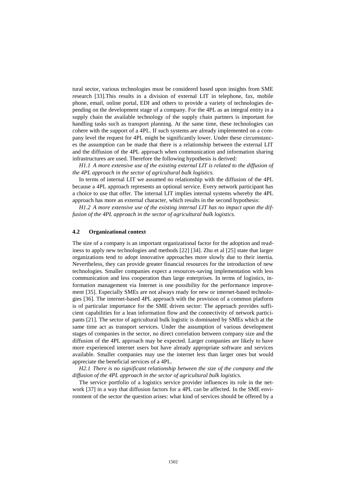tural sector, various technologies must be considered based upon insights from SME research [33].This results in a division of external LIT in telephone, fax, mobile phone, email, online portal, EDI and others to provide a variety of technologies depending on the development stage of a company. For the 4PL as an integral entity in a supply chain the available technology of the supply chain partners is important for handling tasks such as transport planning. At the same time, these technologies can cohere with the support of a 4PL. If such systems are already implemented on a company level the request for 4PL might be significantly lower. Under these circumstances the assumption can be made that there is a relationship between the external LIT and the diffusion of the 4PL approach when communication and information sharing infrastructures are used. Therefore the following hypothesis is derived:

*H1.1 A more extensive use of the existing external LIT is related to the diffusion of the 4PL approach in the sector of agricultural bulk logistics.*

In terms of internal LIT we assumed no relationship with the diffusion of the 4PL because a 4PL approach represents an optional service. Every network participant has a choice to use that offer. The internal LIT implies internal systems whereby the 4PL approach has more an external character, which results in the second hypothesis:

*H1.2 A more extensive use of the existing internal LIT has no impact upon the diffusion of the 4PL approach in the sector of agricultural bulk logistics.*

#### **4.2 Organizational context**

The size of a company is an important organizational factor for the adoption and readiness to apply new technologies and methods [22] [34]. Zhu et al [25] state that larger organizations tend to adopt innovative approaches more slowly due to their inertia. Nevertheless, they can provide greater financial resources for the introduction of new technologies. Smaller companies expect a resources-saving implementation with less communication and less cooperation than large enterprises. In terms of logistics, information management via Internet is one possibility for the performance improvement [35]. Especially SMEs are not always ready for new or internet-based technologies [36]. The internet-based 4PL approach with the provision of a common platform is of particular importance for the SME driven sector: The approach provides sufficient capabilities for a lean information flow and the connectivity of network participants [21]. The sector of agricultural bulk logistic is dominated by SMEs which at the same time act as transport services. Under the assumption of various development stages of companies in the sector, no direct correlation between company size and the diffusion of the 4PL approach may be expected. Larger companies are likely to have more experienced internet users but have already appropriate software and services available. Smaller companies may use the internet less than larger ones but would appreciate the beneficial services of a 4PL.

*H2.1 There is no significant relationship between the size of the company and the diffusion of the 4PL approach in the sector of agricultural bulk logistics.*

The service portfolio of a logistics service provider influences its role in the network [37] in a way that diffusion factors for a 4PL can be affected. In the SME environment of the sector the question arises: what kind of services should be offered by a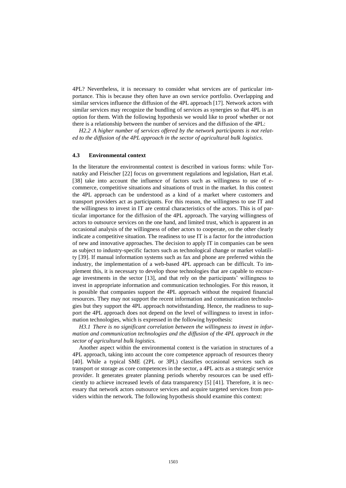4PL? Nevertheless, it is necessary to consider what services are of particular importance. This is because they often have an own service portfolio. Overlapping and similar services influence the diffusion of the 4PL approach [17]. Network actors with similar services may recognize the bundling of services as synergies so that 4PL is an option for them. With the following hypothesis we would like to proof whether or not there is a relationship between the number of services and the diffusion of the 4PL:

*H2.2 A higher number of services offered by the network participants is not related to the diffusion of the 4PL approach in the sector of agricultural bulk logistics.*

## **4.3 Environmental context**

In the literature the environmental context is described in various forms: while Tornatzky and Fleischer [22] focus on government regulations and legislation, Hart et.al. [38] take into account the influence of factors such as willingness to use of ecommerce, competitive situations and situations of trust in the market. In this context the 4PL approach can be understood as a kind of a market where customers and transport providers act as participants. For this reason, the willingness to use IT and the willingness to invest in IT are central characteristics of the actors. This is of particular importance for the diffusion of the 4PL approach. The varying willingness of actors to outsource services on the one hand, and limited trust, which is apparent in an occasional analysis of the willingness of other actors to cooperate, on the other clearly indicate a competitive situation. The readiness to use IT is a factor for the introduction of new and innovative approaches. The decision to apply IT in companies can be seen as subject to industry-specific factors such as technological change or market volatility [39]. If manual information systems such as fax and phone are preferred within the industry, the implementation of a web-based 4PL approach can be difficult. To implement this, it is necessary to develop those technologies that are capable to encourage investments in the sector [13], and that rely on the participants' willingness to invest in appropriate information and communication technologies. For this reason, it is possible that companies support the 4PL approach without the required financial resources. They may not support the recent information and communication technologies but they support the 4PL approach notwithstanding. Hence, the readiness to support the 4PL approach does not depend on the level of willingness to invest in information technologies, which is expressed in the following hypothesis:

*H3.1 There is no significant correlation between the willingness to invest in information and communication technologies and the diffusion of the 4PL approach in the sector of agricultural bulk logistics.*

Another aspect within the environmental context is the variation in structures of a 4PL approach, taking into account the core competence approach of resources theory [40]. While a typical SME (2PL or 3PL) classifies occasional services such as transport or storage as core competences in the sector, a 4PL acts as a strategic service provider. It generates greater planning periods whereby resources can be used efficiently to achieve increased levels of data transparency [5] [41]. Therefore, it is necessary that network actors outsource services and acquire targeted services from providers within the network. The following hypothesis should examine this context: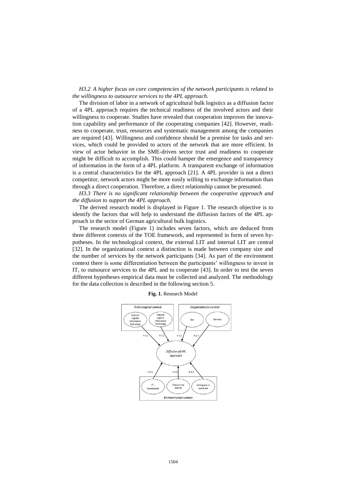#### *H3.2 A higher focus on core competencies of the network participants is related to the willingness to outsource services to the 4PL approach.*

The division of labor in a network of agricultural bulk logistics as a diffusion factor of a 4PL approach requires the technical readiness of the involved actors and their willingness to cooperate. Studies have revealed that cooperation improves the innovation capability and performance of the cooperating companies [42]. However, readiness to cooperate, trust, resources and systematic management among the companies are required [43]. Willingness and confidence should be a premise for tasks and services, which could be provided to actors of the network that are more efficient. In view of actor behavior in the SME-driven sector trust and readiness to cooperate might be difficult to accomplish. This could hamper the emergence and transparency of information in the form of a 4PL platform. A transparent exchange of information is a central characteristics for the 4PL approach [21]. A 4PL provider is not a direct competitor, network actors might be more easily willing to exchange information than through a direct cooperation. Therefore, a direct relationship cannot be presumed.

*H3.3 There is no significant relationship between the cooperative approach and the diffusion to support the 4PL approach.*

The derived research model is displayed in Figure 1. The research objective is to identify the factors that will help to understand the diffusion factors of the 4PL approach in the sector of German agricultural bulk logistics.

The research model (Figure 1) includes seven factors, which are deduced from three different contexts of the TOE framework, and represented in form of seven hypotheses. In the technological context, the external LIT and internal LIT are central [32]. In the organizational context a distinction is made between company size and the number of services by the network participants [34]. As part of the environment context there is some differentiation between the participants' willingness to invest in IT, to outsource services to the 4PL and to cooperate [43]. In order to test the seven different hypotheses empirical data must be collected and analyzed. The methodology for the data collection is described in the following section 5.

**Fig. 1.** Research Model

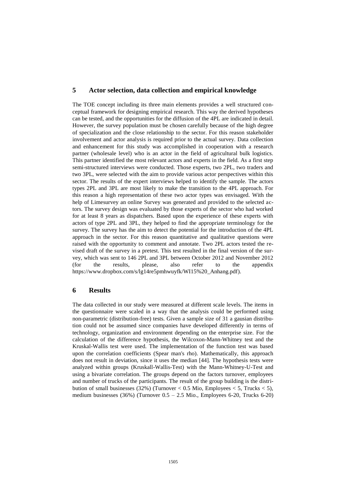# **5 Actor selection, data collection and empirical knowledge**

The TOE concept including its three main elements provides a well structured conceptual framework for designing empirical research. This way the derived hypotheses can be tested, and the opportunities for the diffusion of the 4PL are indicated in detail. However, the survey population must be chosen carefully because of the high degree of specialization and the close relationship to the sector. For this reason stakeholder involvement and actor analysis is required prior to the actual survey. Data collection and enhancement for this study was accomplished in cooperation with a research partner (wholesale level) who is an actor in the field of agricultural bulk logistics. This partner identified the most relevant actors and experts in the field. As a first step semi-structured interviews were conducted. Those experts, two 2PL, two traders and two 3PL, were selected with the aim to provide various actor perspectives within this sector. The results of the expert interviews helped to identify the sample. The actors types 2PL and 3PL are most likely to make the transition to the 4PL approach. For this reason a high representation of these two actor types was envisaged. With the help of Limesurvey an online Survey was generated and provided to the selected actors. The survey design was evaluated by those experts of the sector who had worked for at least 8 years as dispatchers. Based upon the experience of these experts with actors of type 2PL and 3PL, they helped to find the appropriate terminology for the survey. The survey has the aim to detect the potential for the introduction of the 4PL approach in the sector. For this reason quantitative and qualitative questions were raised with the opportunity to comment and annotate. Two 2PL actors tested the revised draft of the survey in a pretest. This test resulted in the final version of the survey, which was sent to 146 2PL and 3PL between October 2012 and November 2012 (for the results, please, also refer to the appendix https://www.dropbox.com/s/lg14re5pmhwuyfk/WI15%20\_Anhang.pdf).

# **6 Results**

The data collected in our study were measured at different scale levels. The items in the questionnaire were scaled in a way that the analysis could be performed using non-parametric (distribution-free) tests. Given a sample size of 31 a gausian distribution could not be assumed since companies have developed differently in terms of technology, organization and environment depending on the enterprise size. For the calculation of the difference hypothesis, the Wilcoxon-Mann-Whitney test and the Kruskal-Wallis test were used. The implementation of the function test was based upon the correlation coefficients (Spear man's rho). Mathematically, this approach does not result in deviation, since it uses the median [44]. The hypothesis tests were analyzed within groups (Kruskall-Wallis-Test) with the Mann-Whitney-U-Test and using a bivariate correlation. The groups depend on the factors turnover, employees and number of trucks of the participants. The result of the group building is the distribution of small businesses (32%) (Turnover  $< 0.5$  Mio, Employees  $< 5$ , Trucks  $< 5$ ), medium businesses (36%) (Turnover  $0.5 - 2.5$  Mio., Employees 6-20, Trucks 6-20)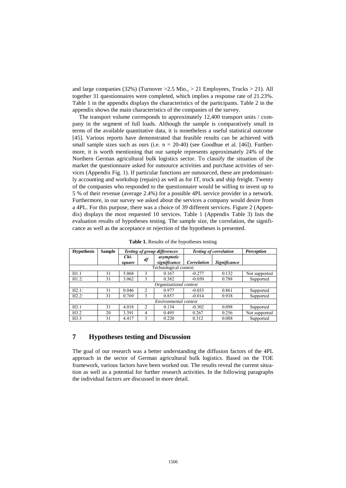and large companies (32%) (Turnover  $>2.5$  Mio.,  $>21$  Employees, Trucks  $>21$ ). All together 31 questionnaires were completed, which implies a response rate of 21.23%. Table 1 in the appendix displays the characteristics of the participants. Table 2 in the appendix shows the main characteristics of the companies of the survey.

The transport volume corresponds to approximately 12,400 transport units / company in the segment of full loads. Although the sample is comparatively small in terms of the available quantitative data, it is nonetheless a useful statistical outcome [45]. Various reports have demonstrated that feasible results can be achieved with small sample sizes such as ours (i.e.  $n = 20-40$ ) (see Goodhue et al. [46]). Furthermore, it is worth mentioning that our sample represents approximately 24% of the Northern German agricultural bulk logistics sector. To classify the situation of the market the questionnaire asked for outsource activities and purchase activities of services (Appendix Fig. 1). If particular functions are outsourced, these are predominantly accounting and workshop (repairs) as well as for IT, truck and ship freight. Twenty of the companies who responded to the questionnaire would be willing to invest up to 5 % of their revenue (average 2.4%) for a possible 4PL service provider in a network. Furthermore, in our survey we asked about the services a company would desire from a 4PL. For this purpose, there was a choice of 39 different services. Figure 2 (Appendix) displays the most requested 10 services. Table 1 (Appendix Table 3) lists the evaluation results of hypotheses testing. The sample size, the correlation, the significance as well as the acceptance or rejection of the hypotheses is presented.

| <b>Hypothesis</b>      | <b>Sample</b> | <b>Testing of group differences</b> |                |                            | <b>Testing of correlation</b> |                     | <b>Perception</b> |
|------------------------|---------------|-------------------------------------|----------------|----------------------------|-------------------------------|---------------------|-------------------|
|                        |               | Chi-<br>square                      | df             | asymptotic<br>significance | <b>Correlation</b>            | <b>Significance</b> |                   |
| Technological context  |               |                                     |                |                            |                               |                     |                   |
| H1.1                   | 31            | 5.068                               | 3              | 0.167                      | $-0.277$                      | 0.132               | Not supported     |
| $H1.2$ :               | 31            | 3.062                               | 3              | 0.382                      | $-0.050$                      | 0.788               | Supported         |
| Organizational context |               |                                     |                |                            |                               |                     |                   |
| H2.1:                  | 31            | 0.046                               | $\mathfrak{D}$ | 0.977                      | $-0.033$                      | 0.861               | Supported         |
| $H2.2$ :               | 31            | 0.769                               | 3              | 0.857                      | $-0.014$                      | 0.938               | Supported         |
| Environmental context  |               |                                     |                |                            |                               |                     |                   |
| H3.1                   | 31            | 4.018                               | $\overline{c}$ | 0.134                      | $-0.302$                      | 0.098               | Supported         |
| H3.2                   | 20            | 3.391                               | 4              | 0.495                      | 0.267                         | 0.256               | Not supported     |
| H3.3                   | 31            | 4.417                               | ٩              | 0.220                      | 0.312                         | 0.088               | Supported         |

**Table 1.** Results of the hypotheses testing

# **7 Hypotheses testing and Discussion**

The goal of our research was a better understanding the diffusion factors of the 4PL approach in the sector of German agricultural bulk logistics. Based on the TOE framework, various factors have been worked out. The results reveal the current situation as well as a potential for further research activities. In the following paragraphs the individual factors are discussed in more detail.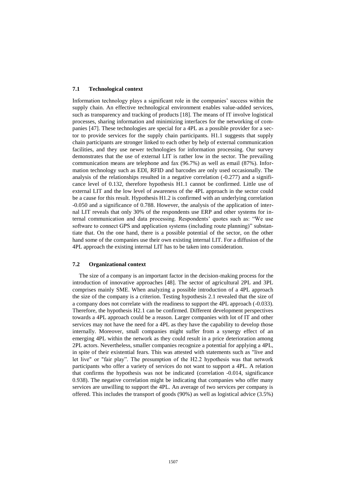#### **7.1 Technological context**

Information technology plays a significant role in the companies' success within the supply chain. An effective technological environment enables value-added services, such as transparency and tracking of products [18]. The means of IT involve logistical processes, sharing information and minimizing interfaces for the networking of companies [47]. These technologies are special for a 4PL as a possible provider for a sector to provide services for the supply chain participants. H1.1 suggests that supply chain participants are stronger linked to each other by help of external communication facilities, and they use newer technologies for information processing. Our survey demonstrates that the use of external LIT is rather low in the sector. The prevailing communication means are telephone and fax (96.7%) as well as email (87%). Information technology such as EDI, RFID and barcodes are only used occasionally. The analysis of the relationships resulted in a negative correlation (-0.277) and a significance level of 0.132, therefore hypothesis H1.1 cannot be confirmed. Little use of external LIT and the low level of awareness of the 4PL approach in the sector could be a cause for this result. Hypothesis H1.2 is confirmed with an underlying correlation -0.050 and a significance of 0.788. However, the analysis of the application of internal LIT reveals that only 30% of the respondents use ERP and other systems for internal communication and data processing. Respondents' quotes such as: "We use software to connect GPS and application systems (including route planning)" substantiate that. On the one hand, there is a possible potential of the sector, on the other hand some of the companies use their own existing internal LIT. For a diffusion of the 4PL approach the existing internal LIT has to be taken into consideration.

#### **7.2 Organizational context**

The size of a company is an important factor in the decision-making process for the introduction of innovative approaches [48]. The sector of agricultural 2PL and 3PL comprises mainly SME. When analyzing a possible introduction of a 4PL approach the size of the company is a criterion. Testing hypothesis 2.1 revealed that the size of a company does not correlate with the readiness to support the 4PL approach (-0.033). Therefore, the hypothesis H2.1 can be confirmed. Different development perspectives towards a 4PL approach could be a reason. Larger companies with lot of IT and other services may not have the need for a 4PL as they have the capability to develop those internally. Moreover, small companies might suffer from a synergy effect of an emerging 4PL within the network as they could result in a price deterioration among 2PL actors. Nevertheless, smaller companies recognize a potential for applying a 4PL, in spite of their existential fears. This was attested with statements such as "live and let live" or "fair play". The presumption of the H2.2 hypothesis was that network participants who offer a variety of services do not want to support a 4PL. A relation that confirms the hypothesis was not be indicated (correlation -0.014, significance 0.938). The negative correlation might be indicating that companies who offer many services are unwilling to support the 4PL. An average of two services per company is offered. This includes the transport of goods (90%) as well as logistical advice (3.5%)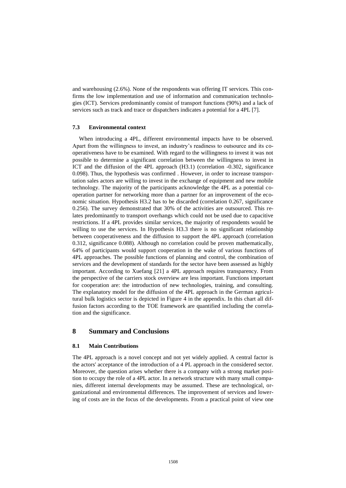and warehousing (2.6%). None of the respondents was offering IT services. This confirms the low implementation and use of information and communication technologies (ICT). Services predominantly consist of transport functions (90%) and a lack of services such as track and trace or dispatchers indicates a potential for a 4PL [7].

#### **7.3 Environmental context**

When introducing a 4PL, different environmental impacts have to be observed. Apart from the willingness to invest, an industry's readiness to outsource and its cooperativeness have to be examined. With regard to the willingness to invest it was not possible to determine a significant correlation between the willingness to invest in ICT and the diffusion of the 4PL approach (H3.1) (correlation -0.302, significance 0.098). Thus, the hypothesis was confirmed . However, in order to increase transportation sales actors are willing to invest in the exchange of equipment and new mobile technology. The majority of the participants acknowledge the 4PL as a potential cooperation partner for networking more than a partner for an improvement of the economic situation. Hypothesis H3.2 has to be discarded (correlation 0.267, significance 0.256). The survey demonstrated that 30% of the activities are outsourced. This relates predominantly to transport overhangs which could not be used due to capacitive restrictions. If a 4PL provides similar services, the majority of respondents would be willing to use the services. In Hypothesis H3.3 there is no significant relationship between cooperativeness and the diffusion to support the 4PL approach (correlation 0.312, significance 0.088). Although no correlation could be proven mathematically, 64% of participants would support cooperation in the wake of various functions of 4PL approaches. The possible functions of planning and control, the combination of services and the development of standards for the sector have been assessed as highly important. According to Xuefang [21] a 4PL approach requires transparency. From the perspective of the carriers stock overview are less important. Functions important for cooperation are: the introduction of new technologies, training, and consulting. The explanatory model for the diffusion of the 4PL approach in the German agricultural bulk logistics sector is depicted in Figure 4 in the appendix. In this chart all diffusion factors according to the TOE framework are quantified including the correlation and the significance.

# **8 Summary and Conclusions**

#### **8.1 Main Contributions**

The 4PL approach is a novel concept and not yet widely applied. A central factor is the actors' acceptance of the introduction of a 4 PL approach in the considered sector. Moreover, the question arises whether there is a company with a strong market position to occupy the role of a 4PL actor. In a network structure with many small companies, different internal developments may be assumed. These are technological, organizational and environmental differences. The improvement of services and lowering of costs are in the focus of the developments. From a practical point of view one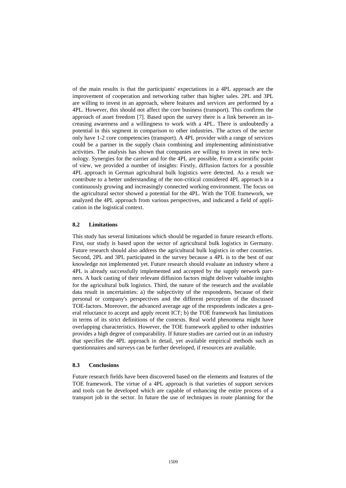of the main results is that the participants' expectations in a 4PL approach are the improvement of cooperation and networking rather than higher sales. 2PL and 3PL are willing to invest in an approach, where features and services are performed by a 4PL. However, this should not affect the core business (transport). This confirms the approach of asset freedom [7]. Based upon the survey there is a link between an increasing awareness and a willingness to work with a 4PL. There is undoubtedly a potential in this segment in comparison to other industries. The actors of the sector only have 1-2 core competencies (transport). A 4PL provider with a range of services could be a partner in the supply chain combining and implementing administrative activities. The analysis has shown that companies are willing to invest in new technology. Synergies for the carrier and for the 4PL are possible. From a scientific point of view, we provided a number of insights: Firstly, diffusion factors for a possible 4PL approach in German agricultural bulk logistics were detected. As a result we contribute to a better understanding of the non-critical considered 4PL approach in a continuously growing and increasingly connected working environment. The focus on the agricultural sector showed a potential for the 4PL. With the TOE framework, we analyzed the 4PL approach from various perspectives, and indicated a field of application in the logistical context.

#### **8.2 Limitations**

This study has several limitations which should be regarded in future research efforts. First, our study is based upon the sector of agricultural bulk logistics in Germany. Future research should also address the agricultural bulk logistics in other countries. Second, 2PL and 3PL participated in the survey because a 4PL is to the best of our knowledge not implemented yet. Future research should evaluate an industry where a 4PL is already successfully implemented and accepted by the supply network partners. A back casting of their relevant diffusion factors might deliver valuable insights for the agricultural bulk logistics. Third, the nature of the research and the available data result in uncertainties: a) the subjectivity of the respondents, because of their personal or company's perspectives and the different perception of the discussed TOE-factors. Moreover, the advanced average age of the respondents indicates a general reluctance to accept and apply recent ICT; b) the TOE framework has limitations in terms of its strict definitions of the contexts. Real world phenomena might have overlapping characteristics. However, the TOE framework applied to other industries provides a high degree of comparability. If future studies are carried out in an industry that specifies the 4PL approach in detail, yet available empirical methods such as questionnaires and surveys can be further developed, if resources are available.

## **8.3 Conclusions**

Future research fields have been discovered based on the elements and features of the TOE framework. The virtue of a 4PL approach is that varieties of support services and tools can be developed which are capable of enhancing the entire process of a transport job in the sector. In future the use of techniques in route planning for the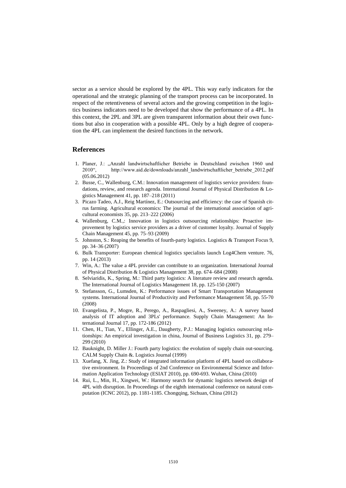sector as a service should be explored by the 4PL. This way early indicators for the operational and the strategic planning of the transport process can be incorporated. In respect of the retentiveness of several actors and the growing competition in the logistics business indicators need to be developed that show the performance of a 4PL. In this context, the 2PL and 3PL are given transparent information about their own functions but also in cooperation with a possible 4PL. Only by a high degree of cooperation the 4PL can implement the desired functions in the network.

## **References**

- 1. Planer, J.: "Anzahl landwirtschaftlicher Betriebe in Deutschland zwischen 1960 und 2010", http://www.aid.de/downloads/anzahl\_landwirtschaftlicher\_betriebe\_2012.pdf (05.06.2012)
- 2. Busse, C., Wallenburg, C.M.: Innovation management of logistics service providers: foundations, review, and research agenda. International Journal of Physical Distribution & Logistics Management 41, pp. 187–218 (2011)
- 3. Picazo Tadeo, A.J., Reig Martínez, E.: Outsourcing and efficiency: the case of Spanish citrus farming. Agricultural economics: The journal of the international association of agricultural economists 35, pp. 213–222 (2006)
- 4. Wallenburg, C.M.,: Innovation in logistics outsourcing relationships: Proactive improvement by logistics service providers as a driver of customer loyalty. Journal of Supply Chain Management 45, pp. 75–93 (2009)
- 5. Johnston, S.: Reaping the benefits of fourth-party logistics. Logistics & Transport Focus 9, pp. 34–36 (2007)
- 6. Bulk Transporter: European chemical logistics specialists launch Log4Chem venture. 76, pp. 14 (2013)
- 7. Win, A.: The value a 4PL provider can contribute to an organization. International Journal of Physical Distribution & Logistics Management 38, pp. 674–684 (2008)
- 8. Selviaridis, K., Spring, M.: Third party logistics: A literature review and research agenda. The International Journal of Logistics Management 18, pp. 125-150 (2007)
- 9. Stefansson, G., Lumsden, K.: Performance issues of Smart Transportation Management systems. International Journal of Productivity and Performance Management 58, pp. 55-70 (2008)
- 10. Evangelista, P., Mogre, R., Perego, A., Raspagliesi, A., Sweeney, A.: A survey based analysis of IT adoption and 3PLs' performance. Supply Chain Management: An International Journal 17, pp. 172-186 (2012)
- 11. Chen, H., Tian, Y., Ellinger, A.E., Daugherty, P.J.: Managing logistics outsourcing relationships: An empirical investigation in china, Journal of Business Logistics 31, pp. 279– 299 (2010)
- 12. Bauknight, D. Miller J.: Fourth party logistics: the evolution of supply chain out-sourcing. CALM Supply Chain &. Logistics Journal (1999)
- 13. Xuefang, X. Jing, Z.: Study of integrated information platform of 4PL based on collaborative environment. In Proceedings of 2nd Conference on Environmental Science and Information Application Technology (ESIAT 2010), pp. 690-693. Wuhan, China (2010)
- 14. Rui, L., Min, H., Xingwei, W.: Harmony search for dynamic logistics network design of 4PL with disruption. In Proceedings of the eighth international conference on natural computation (ICNC 2012), pp. 1181-1185. Chongqing, Sichuan, China (2012)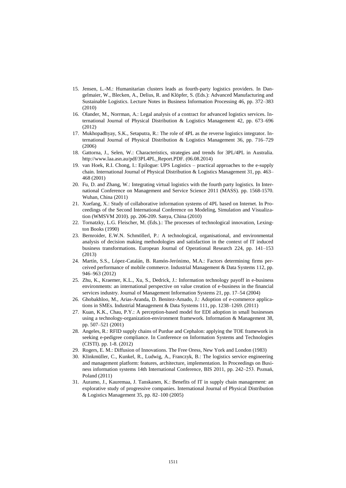- 15. Jensen, L.-M.: Humanitarian clusters leads as fourth-party logistics providers. In Dangelmaier, W., Blecken, A., Delius, R. and Klöpfer, S. (Eds.): Advanced Manufacturing and Sustainable Logistics. Lecture Notes in Business Information Processing 46, pp. 372–383 (2010)
- 16. Olander, M., Norrman, A.: Legal analysis of a contract for advanced logistics services. International Journal of Physical Distribution & Logistics Management 42, pp. 673–696 (2012)
- 17. Mukhopadhyay, S.K., Setaputra, R.: The role of 4PL as the reverse logistics integrator. International Journal of Physical Distribution & Logistics Management 36, pp. 716–729 (2006)
- 18. Gattorna, J., Selen, W.: Characteristics, strategies and trends for 3PL/4PL in Australia. http://www.laa.asn.au/pdf/3PL4PL\_Report.PDF. (06.08.2014)
- 19. van Hoek, R.I. Chong, I.: Epilogue: UPS Logistics practical approaches to the e-supply chain. International Journal of Physical Distribution & Logistics Management 31, pp. 463– 468 (2001)
- 20. Fu, D. and Zhang, W.: Integrating virtual logistics with the fourth party logistics. In International Conference on Management and Service Science 2011 (MASS). pp. 1568-1570. Wuhan, China (2011)
- 21. Xuefang, X.: Study of collaborative information systems of 4PL based on Internet. In Proceedings of the Second International Conference on Modeling, Simulation and Visualization (WMSVM 2010). pp. 206-209. Sanya, China (2010)
- 22. Tornatzky, L.G. Fleischer, M. (Eds.).: The processes of technological innovation, Lexington Books (1990)
- 23. Bernroider, E.W.N. Schmöllerl, P.: A technological, organisational, and environmental analysis of decision making methodologies and satisfaction in the context of IT induced business transformations. European Journal of Operational Research 224, pp. 141–153 (2013)
- 24. Martín, S.S., López-Catalán, B. Ramón-Jerónimo, M.A.: Factors determining firms perceived performance of mobile commerce. Industrial Management & Data Systems 112, pp. 946–963 (2012)
- 25. Zhu, K., Kraemer, K.L., Xu, S., Dedrick, J.: Information technology payoff in e-business environments: an international perspective on value creation of e-business in the financial services industry. Journal of Management Information Systems 21, pp. 17–54 (2004)
- 26. Ghobakhloo, M., Arias-Aranda, D. Benitez-Amado, J.: Adoption of e-commerce applications in SMEs. Industrial Management & Data Systems 111, pp. 1238–1269. (2011)
- 27. Kuan, K.K., Chau, P.Y.: A perception-based model for EDI adoption in small businesses using a technology-organization-environment framework. Information & Management 38, pp. 507–521 (2001)
- 28. Angeles, R.: RFID supply chains of Purdue and Cephalon: applying the TOE framework in seeking e-pedigree compliance. In Conference on Information Systems and Technologies (CISTI). pp. 1-8. (2012)
- 29. Rogers, E. M.: Diffusion of Innovations. The Free Oress, New York and London (1983)
- 30. Klinkmüller, C., Kunkel, R., Ludwig, A., Franczyk, B.: The logistics service engineering and management platform: features, architecture, implementation. In Proceedings on Business information systems 14th International Conference, BIS 2011, pp. 242–253. Poznań, Poland (2011)
- 31. Auramo, J., Kauremaa, J. Tanskanen, K.: Benefits of IT in supply chain management: an explorative study of progressive companies. International Journal of Physical Distribution & Logistics Management 35, pp. 82–100 (2005)